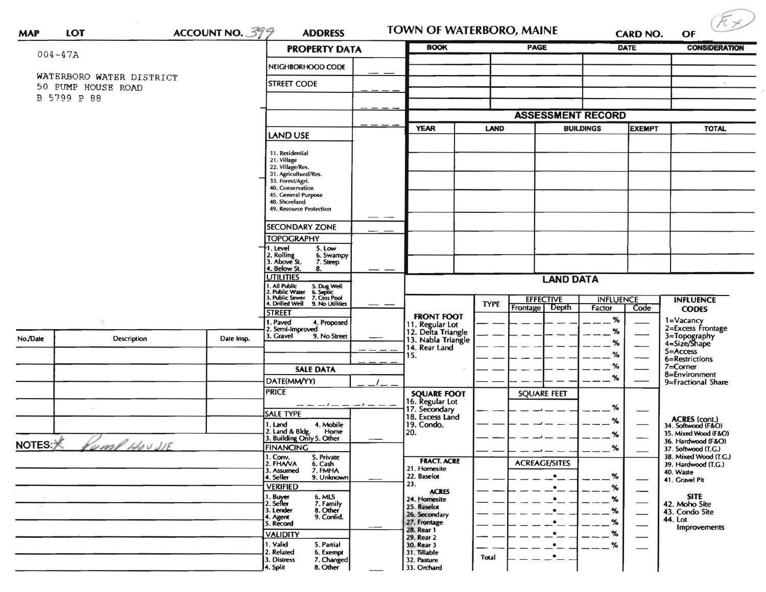| ACCOUNT NO. 399<br><b>LOT</b><br><b>MAP</b> |                            |                    | <b>ADDRESS</b><br><b>PROPERTY DATA</b>                                                                             |                          | TOWN OF WATERBORO, MAINE<br><b>BOOK</b>                     |                  | <b>PAGE</b>          | <b>CARD NO.</b><br><b>DATE</b> |                               | <b>CONSIDERATION</b>                         |
|---------------------------------------------|----------------------------|--------------------|--------------------------------------------------------------------------------------------------------------------|--------------------------|-------------------------------------------------------------|------------------|----------------------|--------------------------------|-------------------------------|----------------------------------------------|
|                                             | $004 - 47A$                |                    | NEIGHBORHOOD CODE                                                                                                  |                          |                                                             |                  |                      |                                |                               |                                              |
|                                             | WATERBORO WATER DISTRICT   |                    |                                                                                                                    |                          |                                                             |                  |                      |                                |                               |                                              |
|                                             | 50 PUMP HOUSE ROAD         | <b>STREET CODE</b> |                                                                                                                    |                          |                                                             |                  |                      |                                |                               |                                              |
|                                             | B 5799 P 88                |                    |                                                                                                                    |                          |                                                             |                  |                      |                                |                               |                                              |
|                                             |                            |                    |                                                                                                                    | <b>ASSESSMENT RECORD</b> |                                                             |                  |                      |                                |                               |                                              |
|                                             |                            |                    | LAND USE                                                                                                           |                          | <b>YEAR</b>                                                 | <b>LAND</b>      |                      | <b>BUILDINGS</b>               | EXEMPT                        | <b>TOTAL</b>                                 |
|                                             |                            |                    | 11. Residential                                                                                                    |                          |                                                             |                  |                      |                                |                               |                                              |
|                                             |                            |                    | 21. Village<br>22. Village/Res.                                                                                    |                          |                                                             |                  |                      |                                |                               |                                              |
|                                             |                            |                    | 31. Agricultural/Res.                                                                                              |                          |                                                             |                  |                      |                                |                               |                                              |
|                                             |                            |                    | 33. Forest/Agri.<br>40. Conservation                                                                               |                          |                                                             |                  |                      |                                |                               |                                              |
|                                             |                            |                    | 45. General Purpose<br>48. Shoreland                                                                               |                          |                                                             |                  |                      |                                |                               |                                              |
|                                             |                            |                    | 49. Resource Protection                                                                                            |                          |                                                             |                  |                      |                                |                               |                                              |
|                                             |                            |                    | <b>SECONDARY ZONE</b>                                                                                              |                          |                                                             |                  |                      |                                |                               |                                              |
|                                             |                            |                    | <b>TOPOGRAPHY</b>                                                                                                  |                          |                                                             |                  |                      |                                |                               |                                              |
|                                             |                            |                    | . Level<br>5. Low<br>2. Rolling<br>3. Above St.<br>6. Swampy                                                       |                          |                                                             |                  |                      |                                |                               |                                              |
|                                             |                            |                    | 7. Steep<br>4. Below St.<br>8.                                                                                     |                          |                                                             |                  |                      |                                |                               |                                              |
|                                             |                            |                    | <b>UTILITIES</b>                                                                                                   |                          | <b>LAND DATA</b>                                            |                  |                      |                                |                               |                                              |
|                                             |                            |                    | 1. All Public<br>2. Public Water<br>3. Public Sewer<br>4. Drilled Well<br>5. Dug Well<br>6. Septic<br>7. Cess Pool |                          |                                                             | <b>EFFECTIVE</b> |                      |                                | <b>INFLUENCE</b>              | <b>INFLUENCE</b>                             |
|                                             |                            |                    | 9. No Utilities<br><b>STREET</b>                                                                                   |                          |                                                             | <b>TYPE</b>      | Frontage<br>Depth    | Factor                         | Code <sup>-</sup>             | <b>CODES</b>                                 |
|                                             | $\epsilon_{\rm s}^{\star}$ |                    | 1. Paved<br>4. Proposed                                                                                            |                          | <b>FRONT FOOT</b>                                           |                  |                      | %                              |                               | 1=Vacancy<br>2=Excess Frontage               |
| No./Date                                    | Description                | Date Insp.         | 2. Semi-Improved<br>3. Gravel<br>9. No Street                                                                      |                          | 11. Regular Lot<br>12. Delta Triangle<br>13. Nabla Triangle |                  |                      | %                              |                               |                                              |
|                                             |                            |                    |                                                                                                                    |                          | 14. Rear Land                                               |                  |                      | %                              |                               | 3=Topography<br>4=Size/Shape<br>5=Access     |
|                                             |                            |                    |                                                                                                                    |                          | 15.                                                         |                  |                      | %                              |                               | 6=Restrictions                               |
|                                             |                            |                    | <b>SALE DATA</b>                                                                                                   |                          |                                                             |                  |                      | ℅<br>%                         |                               | $7 =$ Corner<br>8=Environment                |
|                                             |                            |                    | DATE(MM/YY)                                                                                                        |                          |                                                             |                  |                      |                                |                               | 9=Fractional Share                           |
|                                             |                            |                    | <b>PRICE</b>                                                                                                       |                          | <b>SQUARE FOOT</b><br>16. Regular Lot                       |                  | <b>SQUARE FEET</b>   |                                |                               |                                              |
|                                             |                            |                    | $- -  -     -$<br><b>SALE TYPE</b>                                                                                 |                          | 17. Secondary<br>18. Excess Land                            |                  |                      | %                              |                               |                                              |
|                                             |                            |                    | 1. Land<br>4. Mobile                                                                                               |                          | 19. Condo.                                                  |                  |                      | ℅                              |                               | ACRES (cont.)<br>34. Softwood (F&O)          |
|                                             |                            |                    | 2. Land & Bldg. Home<br>3. Building Only 5. Other<br>Home                                                          |                          | 20.                                                         |                  |                      | %                              |                               | 35. Mixed Wood (F&O)<br>36. Hardwood (F&O)   |
| $NOTES: \times$                             | Comp Hou JE                |                    | <b>FINANCING</b>                                                                                                   |                          |                                                             |                  |                      | $\%$                           |                               | 37. Softwood (T.G.)                          |
|                                             |                            |                    | 1. Conv.<br>5. Private<br>2. FHAVA<br>6. Cash                                                                      |                          | <b>FRACT. ACRE</b><br>21. Homesite                          |                  | <b>ACREAGE/SITES</b> |                                |                               | 38. Mixed Wood (T.G.)<br>39. Hardwood (T.G.) |
|                                             |                            |                    | 7. FMHA<br>3. Assumed<br>9. Unknown<br>4. Seller                                                                   |                          | 22. Baselot                                                 |                  | $\bullet$            | $\%$                           |                               | 40. Waste<br>41. Gravel Pit                  |
|                                             |                            |                    | <b>VERIFIED</b>                                                                                                    |                          | 23.<br><b>ACRES</b>                                         |                  | ٠                    | %                              | $\overbrace{\phantom{aaaaa}}$ |                                              |
|                                             |                            |                    | 1. Buyer<br>6. MLS<br>7. Family<br>2. Sell <del>er</del>                                                           |                          | 24. Homesite<br>25. Baselot                                 |                  | ٠                    | %                              |                               | <b>SITE</b><br>42. Moho Site                 |
|                                             |                            |                    | 8. Other<br>3. Lender<br>9. Confid.<br>4. Agent                                                                    |                          | 26. Secondary                                               |                  |                      | ℅                              | $\overbrace{\phantom{13333}}$ | 43. Condo Site<br>44. Lot                    |
|                                             |                            |                    | 5. Record                                                                                                          |                          | 27. Frontage<br>28. Rear 1                                  |                  |                      |                                | $\overbrace{\hspace{27mm}}$   | <b>Improvements</b>                          |
|                                             |                            |                    | <b>VALIDITY</b><br>1. Valid<br>5. Partial                                                                          |                          | 29. Rear 2<br>30. Rear 3                                    |                  |                      | %                              |                               |                                              |
|                                             |                            |                    | 2. Related<br>6. Exempt                                                                                            |                          | 31. Tillable                                                | Total            | $\bullet$            | %                              | $\hspace{0.05cm}$             |                                              |
|                                             |                            |                    | 7. Changed<br>3. Distress                                                                                          |                          | 32. Pasture                                                 |                  |                      |                                |                               |                                              |